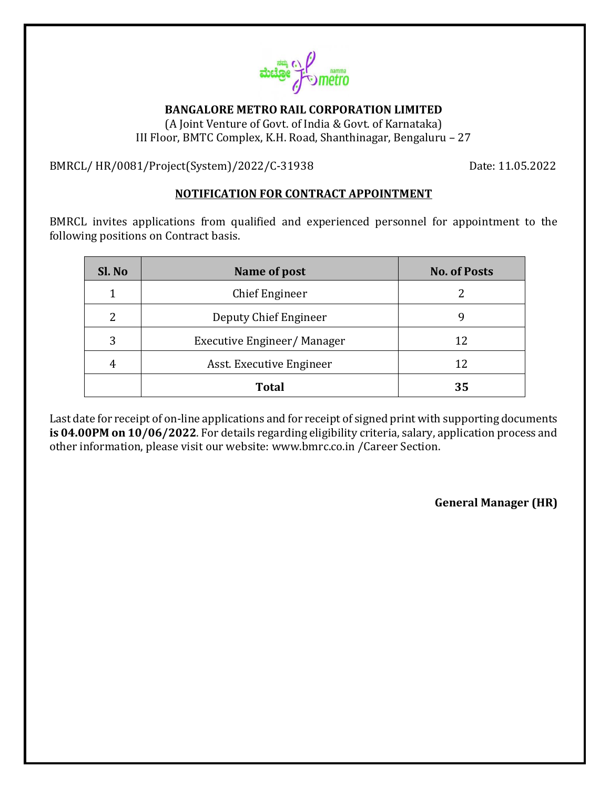

**BANGALORE METRO RAIL CORPORATION LIMITED**

(A Joint Venture of Govt. of India & Govt. of Karnataka) III Floor, BMTC Complex, K.H. Road, Shanthinagar, Bengaluru – 27

BMRCL/ HR/0081/Project(System)/2022/C-31938 Date: 11.05.2022

# **NOTIFICATION FOR CONTRACT APPOINTMENT**

BMRCL invites applications from qualified and experienced personnel for appointment to the following positions on Contract basis.

| Sl. No | Name of post               | <b>No. of Posts</b> |
|--------|----------------------------|---------------------|
| 1      | Chief Engineer             |                     |
| 2      | Deputy Chief Engineer      | 9                   |
| 3      | Executive Engineer/Manager | 12                  |
| 4      | Asst. Executive Engineer   | 12                  |
|        | <b>Total</b>               | 35                  |

Last date for receipt of on-line applications and for receipt of signed print with supporting documents **is 04.00PM on 10/06/2022**. For details regarding eligibility criteria, salary, application process and other information, please visit our website: [www.bmrc.co.in](http://www.bmrc.co.in/) /Career Section.

**General Manager (HR)**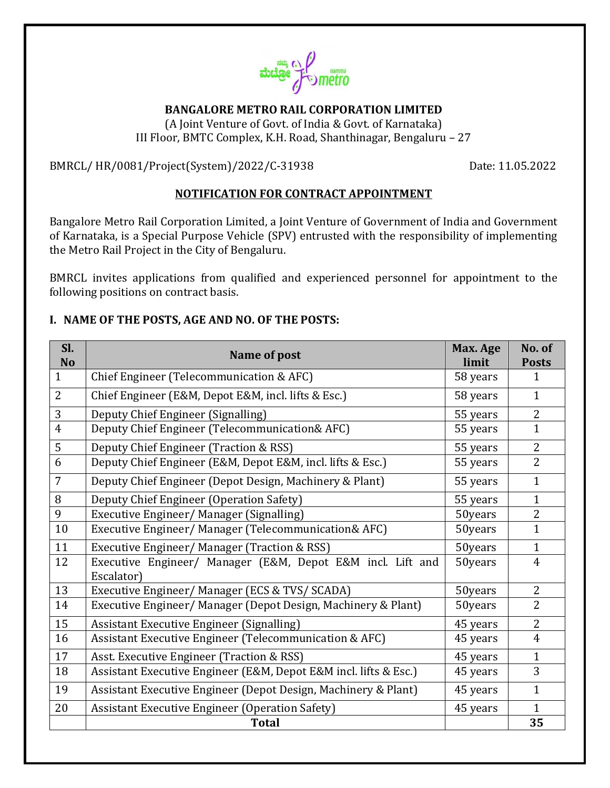

# **BANGALORE METRO RAIL CORPORATION LIMITED**

(A Joint Venture of Govt. of India & Govt. of Karnataka) III Floor, BMTC Complex, K.H. Road, Shanthinagar, Bengaluru – 27

BMRCL/ HR/0081/Project(System)/2022/C-31938 Date: 11.05.2022

#### **NOTIFICATION FOR CONTRACT APPOINTMENT**

Bangalore Metro Rail Corporation Limited, a Joint Venture of Government of India and Government of Karnataka, is a Special Purpose Vehicle (SPV) entrusted with the responsibility of implementing the Metro Rail Project in the City of Bengaluru.

BMRCL invites applications from qualified and experienced personnel for appointment to the following positions on contract basis.

#### **I. NAME OF THE POSTS, AGE AND NO. OF THE POSTS:**

| Sl.<br><b>No</b> | Name of post                                                             | Max. Age<br>limit | No. of<br><b>Posts</b> |
|------------------|--------------------------------------------------------------------------|-------------------|------------------------|
| $\mathbf{1}$     | Chief Engineer (Telecommunication & AFC)                                 | 58 years          | 1                      |
| $\overline{2}$   | Chief Engineer (E&M, Depot E&M, incl. lifts & Esc.)                      | 58 years          | $\mathbf{1}$           |
| 3                | Deputy Chief Engineer (Signalling)                                       | 55 years          | $\overline{2}$         |
| $\overline{4}$   | Deputy Chief Engineer (Telecommunication& AFC)                           | 55 years          | $\mathbf{1}$           |
| 5                | Deputy Chief Engineer (Traction & RSS)                                   | 55 years          | $\overline{2}$         |
| $\overline{6}$   | Deputy Chief Engineer (E&M, Depot E&M, incl. lifts & Esc.)               | 55 years          | $\overline{2}$         |
| $\overline{7}$   | Deputy Chief Engineer (Depot Design, Machinery & Plant)                  | 55 years          | $\mathbf{1}$           |
| 8                | Deputy Chief Engineer (Operation Safety)                                 | 55 years          | $\mathbf{1}$           |
| 9                | Executive Engineer/Manager (Signalling)                                  | 50years           | $\overline{2}$         |
| 10               | Executive Engineer/ Manager (Telecommunication& AFC)                     | 50years           | $\mathbf{1}$           |
| 11               | Executive Engineer/ Manager (Traction & RSS)                             | 50years           | $\mathbf{1}$           |
| 12               | Executive Engineer/ Manager (E&M, Depot E&M incl. Lift and<br>Escalator) | 50years           | $\overline{4}$         |
| 13               | Executive Engineer/Manager (ECS & TVS/SCADA)                             | 50years           | $\overline{2}$         |
| 14               | Executive Engineer/ Manager (Depot Design, Machinery & Plant)            | 50years           | $\overline{2}$         |
| 15               | Assistant Executive Engineer (Signalling)                                | 45 years          | $\overline{2}$         |
| 16               | Assistant Executive Engineer (Telecommunication & AFC)                   | 45 years          | $\overline{4}$         |
| 17               | Asst. Executive Engineer (Traction & RSS)                                | 45 years          | $\mathbf{1}$           |
| 18               | Assistant Executive Engineer (E&M, Depot E&M incl. lifts & Esc.)         | 45 years          | 3                      |
| 19               | Assistant Executive Engineer (Depot Design, Machinery & Plant)           | 45 years          | $\mathbf{1}$           |
| 20               | <b>Assistant Executive Engineer (Operation Safety)</b>                   | 45 years          | $\mathbf{1}$           |
|                  | <b>Total</b>                                                             |                   | 35                     |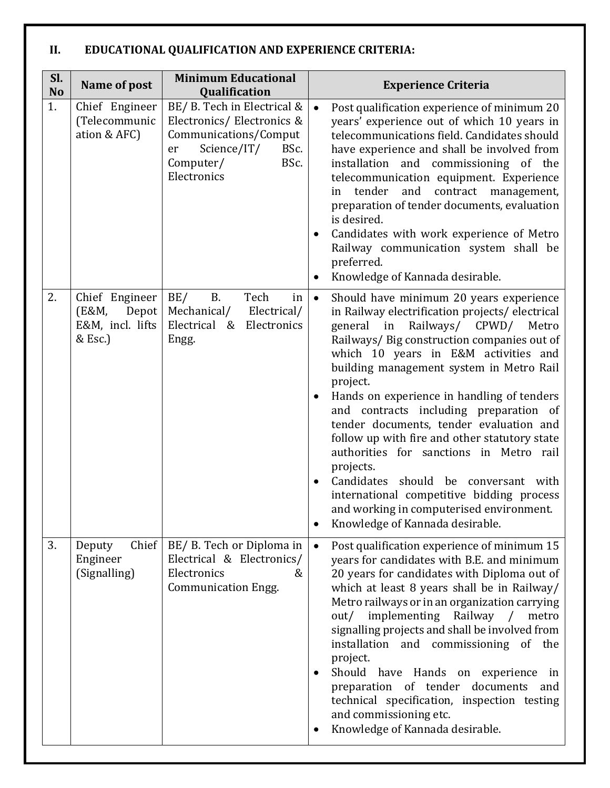# **II. EDUCATIONAL QUALIFICATION AND EXPERIENCE CRITERIA:**

| Sl.<br><b>No</b> | Name of post                                                    | <b>Minimum Educational</b><br>Qualification                                                                                                        | <b>Experience Criteria</b>                                                                                                                                                                                                                                                                                                                                                                                                                                                                                                                                                                                                                                                                                                          |
|------------------|-----------------------------------------------------------------|----------------------------------------------------------------------------------------------------------------------------------------------------|-------------------------------------------------------------------------------------------------------------------------------------------------------------------------------------------------------------------------------------------------------------------------------------------------------------------------------------------------------------------------------------------------------------------------------------------------------------------------------------------------------------------------------------------------------------------------------------------------------------------------------------------------------------------------------------------------------------------------------------|
| 1.               | Chief Engineer<br>(Telecommunic<br>ation & AFC)                 | BE/ B. Tech in Electrical &<br>Electronics/Electronics &<br>Communications/Comput<br>Science/IT/<br>BSc.<br>er<br>Computer/<br>BSc.<br>Electronics | Post qualification experience of minimum 20<br>$\bullet$<br>years' experience out of which 10 years in<br>telecommunications field. Candidates should<br>have experience and shall be involved from<br>installation and commissioning of the<br>telecommunication equipment. Experience<br>tender<br>and<br>contract<br>management,<br>in<br>preparation of tender documents, evaluation<br>is desired.<br>Candidates with work experience of Metro<br>$\bullet$<br>Railway communication system shall be<br>preferred.<br>Knowledge of Kannada desirable.<br>$\bullet$                                                                                                                                                             |
| 2.               | Chief Engineer<br>Depot<br>(E&M,<br>E&M, incl. lifts<br>& Esc.) | BE/<br><b>B.</b><br>Tech<br>in<br>Mechanical/<br>Electrical/<br>Electrical & Electronics<br>Engg.                                                  | Should have minimum 20 years experience<br>$\bullet$<br>in Railway electrification projects/electrical<br>general in Railways/ CPWD/ Metro<br>Railways/ Big construction companies out of<br>which 10 years in E&M activities and<br>building management system in Metro Rail<br>project.<br>Hands on experience in handling of tenders<br>$\bullet$<br>and contracts including preparation of<br>tender documents, tender evaluation and<br>follow up with fire and other statutory state<br>authorities for sanctions in Metro rail<br>projects.<br>Candidates should be conversant with<br>$\bullet$<br>international competitive bidding process<br>and working in computerised environment.<br>Knowledge of Kannada desirable. |
| 3.               | Chief<br>Deputy<br>Engineer<br>(Signalling)                     | BE/ B. Tech or Diploma in<br>Electrical & Electronics/<br>Electronics<br>&<br>Communication Engg.                                                  | Post qualification experience of minimum 15<br>$\bullet$<br>years for candidates with B.E. and minimum<br>20 years for candidates with Diploma out of<br>which at least 8 years shall be in Railway/<br>Metro railways or in an organization carrying<br>implementing<br>Railway /<br>out/<br>metro<br>signalling projects and shall be involved from<br>installation and commissioning of the<br>project.<br>Should have Hands on experience in<br>$\bullet$<br>preparation of tender documents<br>and<br>technical specification, inspection testing<br>and commissioning etc.<br>Knowledge of Kannada desirable.<br>$\bullet$                                                                                                    |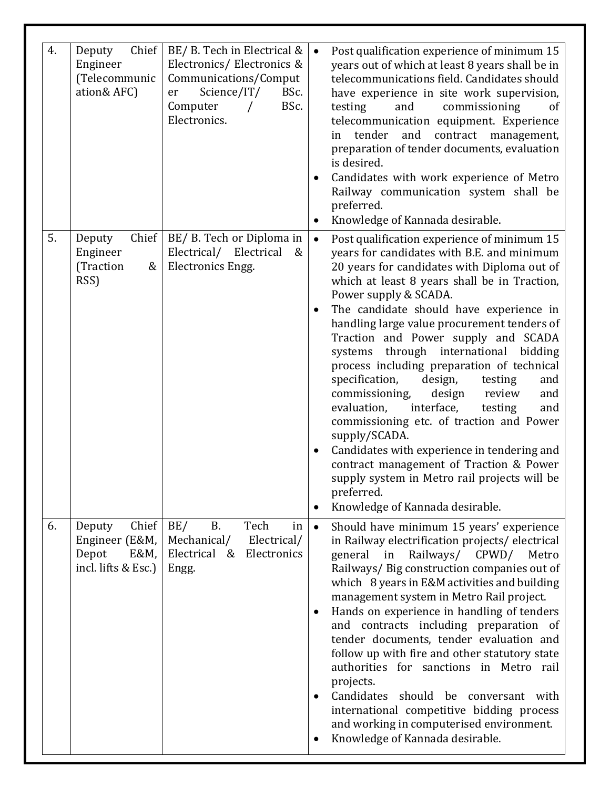| 4. | Chief<br>Deputy<br>Engineer<br>(Telecommunic<br>ation& AFC)               | BE/ B. Tech in Electrical &<br>Electronics/Electronics &<br>Communications/Comput<br>Science/IT/<br>BSc.<br>er<br>Computer<br>BSc.<br>Electronics. | Post qualification experience of minimum 15<br>$\bullet$<br>years out of which at least 8 years shall be in<br>telecommunications field. Candidates should<br>have experience in site work supervision,<br>testing<br>and<br>commissioning<br>of<br>telecommunication equipment. Experience<br>tender<br>and<br>contract<br>management,<br>in<br>preparation of tender documents, evaluation<br>is desired.<br>Candidates with work experience of Metro<br>$\bullet$<br>Railway communication system shall be<br>preferred.<br>Knowledge of Kannada desirable.<br>$\bullet$                                                                                                                                                                                                                                                                                                                      |
|----|---------------------------------------------------------------------------|----------------------------------------------------------------------------------------------------------------------------------------------------|--------------------------------------------------------------------------------------------------------------------------------------------------------------------------------------------------------------------------------------------------------------------------------------------------------------------------------------------------------------------------------------------------------------------------------------------------------------------------------------------------------------------------------------------------------------------------------------------------------------------------------------------------------------------------------------------------------------------------------------------------------------------------------------------------------------------------------------------------------------------------------------------------|
| 5. | Chief<br>Deputy<br>Engineer<br>(Traction<br>&<br>RSS)                     | BE/ B. Tech or Diploma in<br>Electrical/ Electrical<br>&<br><b>Electronics Engg.</b>                                                               | Post qualification experience of minimum 15<br>$\bullet$<br>years for candidates with B.E. and minimum<br>20 years for candidates with Diploma out of<br>which at least 8 years shall be in Traction,<br>Power supply & SCADA.<br>The candidate should have experience in<br>$\bullet$<br>handling large value procurement tenders of<br>Traction and Power supply and SCADA<br>systems through international bidding<br>process including preparation of technical<br>specification,<br>design,<br>testing<br>and<br>commissioning,<br>design<br>review<br>and<br>evaluation,<br>interface,<br>testing<br>and<br>commissioning etc. of traction and Power<br>supply/SCADA.<br>Candidates with experience in tendering and<br>$\bullet$<br>contract management of Traction & Power<br>supply system in Metro rail projects will be<br>preferred.<br>Knowledge of Kannada desirable.<br>$\bullet$ |
| 6. | Chief<br>Deputy<br>Engineer (E&M,<br>Depot<br>E&M,<br>incl. lifts & Esc.) | BE/<br><b>B.</b><br>Tech<br>in<br>Mechanical/<br>Electrical/<br>Electrical & Electronics<br>Engg.                                                  | Should have minimum 15 years' experience<br>$\bullet$<br>in Railway electrification projects/electrical<br>general in Railways/ CPWD/<br>Metro<br>Railways/ Big construction companies out of<br>which 8 years in E&M activities and building<br>management system in Metro Rail project.<br>Hands on experience in handling of tenders<br>$\bullet$<br>and contracts including preparation of<br>tender documents, tender evaluation and<br>follow up with fire and other statutory state<br>authorities for sanctions in Metro rail<br>projects.<br>Candidates should be conversant with<br>$\bullet$<br>international competitive bidding process<br>and working in computerised environment.<br>Knowledge of Kannada desirable.<br>٠                                                                                                                                                         |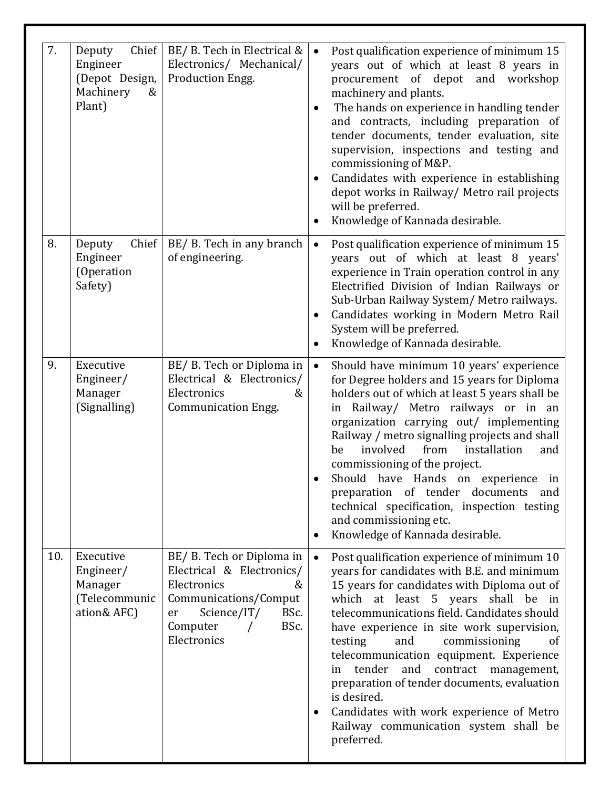| 7.  | Chief<br>Deputy<br>Engineer<br>(Depot Design,<br>Machinery<br>&<br>Plant) | BE/ B. Tech in Electrical &<br>Electronics/ Mechanical/<br>Production Engg.                                                                                         | Post qualification experience of minimum 15<br>$\bullet$<br>years out of which at least 8 years in<br>procurement of depot and workshop<br>machinery and plants.<br>The hands on experience in handling tender<br>and contracts, including preparation of<br>tender documents, tender evaluation, site<br>supervision, inspections and testing and<br>commissioning of M&P.<br>Candidates with experience in establishing<br>$\bullet$<br>depot works in Railway/ Metro rail projects<br>will be preferred.<br>Knowledge of Kannada desirable.                                                                      |
|-----|---------------------------------------------------------------------------|---------------------------------------------------------------------------------------------------------------------------------------------------------------------|---------------------------------------------------------------------------------------------------------------------------------------------------------------------------------------------------------------------------------------------------------------------------------------------------------------------------------------------------------------------------------------------------------------------------------------------------------------------------------------------------------------------------------------------------------------------------------------------------------------------|
| 8.  | Chief<br>Deputy<br>Engineer<br>(Operation<br>Safety)                      | BE/ B. Tech in any branch<br>of engineering.                                                                                                                        | Post qualification experience of minimum 15<br>$\bullet$<br>years out of which at least 8 years'<br>experience in Train operation control in any<br>Electrified Division of Indian Railways or<br>Sub-Urban Railway System/ Metro railways.<br>Candidates working in Modern Metro Rail<br>$\bullet$<br>System will be preferred.<br>Knowledge of Kannada desirable.<br>$\bullet$                                                                                                                                                                                                                                    |
| 9.  | Executive<br>Engineer/<br>Manager<br>(Signalling)                         | BE/ B. Tech or Diploma in<br>Electrical & Electronics/<br>Electronics<br>&<br><b>Communication Engg.</b>                                                            | Should have minimum 10 years' experience<br>$\bullet$<br>for Degree holders and 15 years for Diploma<br>holders out of which at least 5 years shall be<br>Railway/ Metro railways or in an<br>in<br>organization carrying out/ implementing<br>Railway / metro signalling projects and shall<br>involved<br>from<br>installation<br>be<br>and<br>commissioning of the project.<br>Should have Hands on experience in<br>preparation of tender documents and<br>technical specification, inspection testing<br>and commissioning etc.<br>Knowledge of Kannada desirable.<br>$\bullet$                                |
| 10. | Executive<br>Engineer/<br>Manager<br>(Telecommunic<br>ation& AFC)         | BE/ B. Tech or Diploma in<br>Electrical & Electronics/<br>Electronics<br>&<br>Communications/Comput<br>Science/IT/<br>BSc.<br>er<br>BSc.<br>Computer<br>Electronics | Post qualification experience of minimum 10<br>$\bullet$<br>years for candidates with B.E. and minimum<br>15 years for candidates with Diploma out of<br>which at least 5 years shall be in<br>telecommunications field. Candidates should<br>have experience in site work supervision,<br>testing<br>and<br>commissioning<br><sub>of</sub><br>telecommunication equipment. Experience<br>tender<br>and<br>contract management,<br>in<br>preparation of tender documents, evaluation<br>is desired.<br>Candidates with work experience of Metro<br>$\bullet$<br>Railway communication system shall be<br>preferred. |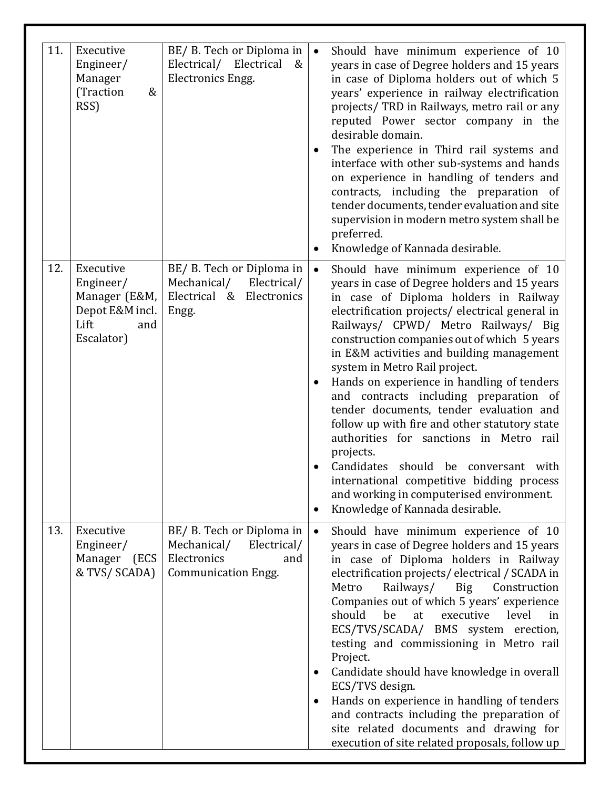| 11. | Executive<br>Engineer/<br>Manager<br>(Traction<br>&<br>RSS)                             | BE/ B. Tech or Diploma in<br>Electrical/ Electrical<br>&<br>Electronics Engg.                               | $\bullet$<br>$\bullet$<br>$\bullet$ | Should have minimum experience of 10<br>years in case of Degree holders and 15 years<br>in case of Diploma holders out of which 5<br>years' experience in railway electrification<br>projects/ TRD in Railways, metro rail or any<br>reputed Power sector company in the<br>desirable domain.<br>The experience in Third rail systems and<br>interface with other sub-systems and hands<br>on experience in handling of tenders and<br>contracts, including the preparation of<br>tender documents, tender evaluation and site<br>supervision in modern metro system shall be<br>preferred.<br>Knowledge of Kannada desirable.                                                                                                                                       |
|-----|-----------------------------------------------------------------------------------------|-------------------------------------------------------------------------------------------------------------|-------------------------------------|----------------------------------------------------------------------------------------------------------------------------------------------------------------------------------------------------------------------------------------------------------------------------------------------------------------------------------------------------------------------------------------------------------------------------------------------------------------------------------------------------------------------------------------------------------------------------------------------------------------------------------------------------------------------------------------------------------------------------------------------------------------------|
| 12. | Executive<br>Engineer/<br>Manager (E&M,<br>Depot E&M incl.<br>Lift<br>and<br>Escalator) | BE/ B. Tech or Diploma in<br>Mechanical/<br>Electrical/<br>Electrical & Electronics<br>Engg.                | $\bullet$<br>$\bullet$<br>$\bullet$ | Should have minimum experience of 10<br>years in case of Degree holders and 15 years<br>in case of Diploma holders in Railway<br>electrification projects/ electrical general in<br>Railways/ CPWD/ Metro Railways/ Big<br>construction companies out of which 5 years<br>in E&M activities and building management<br>system in Metro Rail project.<br>Hands on experience in handling of tenders<br>and contracts including preparation of<br>tender documents, tender evaluation and<br>follow up with fire and other statutory state<br>authorities for sanctions in Metro rail<br>projects.<br>Candidates should be conversant with<br>international competitive bidding process<br>and working in computerised environment.<br>Knowledge of Kannada desirable. |
| 13. | Executive<br>Engineer/<br>Manager<br>(ECS<br>& TVS/ SCADA)                              | BE/ B. Tech or Diploma in<br>Mechanical/<br>Electrical/<br>Electronics<br>and<br><b>Communication Engg.</b> | $\bullet$<br>٠<br>$\bullet$         | Should have minimum experience of 10<br>years in case of Degree holders and 15 years<br>in case of Diploma holders in Railway<br>electrification projects/electrical/SCADA in<br>Railways/<br>Metro<br>Construction<br>Big<br>Companies out of which 5 years' experience<br>should<br>be<br>at<br>executive<br>level<br>in<br>ECS/TVS/SCADA/ BMS system erection,<br>testing and commissioning in Metro rail<br>Project.<br>Candidate should have knowledge in overall<br>ECS/TVS design.<br>Hands on experience in handling of tenders<br>and contracts including the preparation of<br>site related documents and drawing for<br>execution of site related proposals, follow up                                                                                    |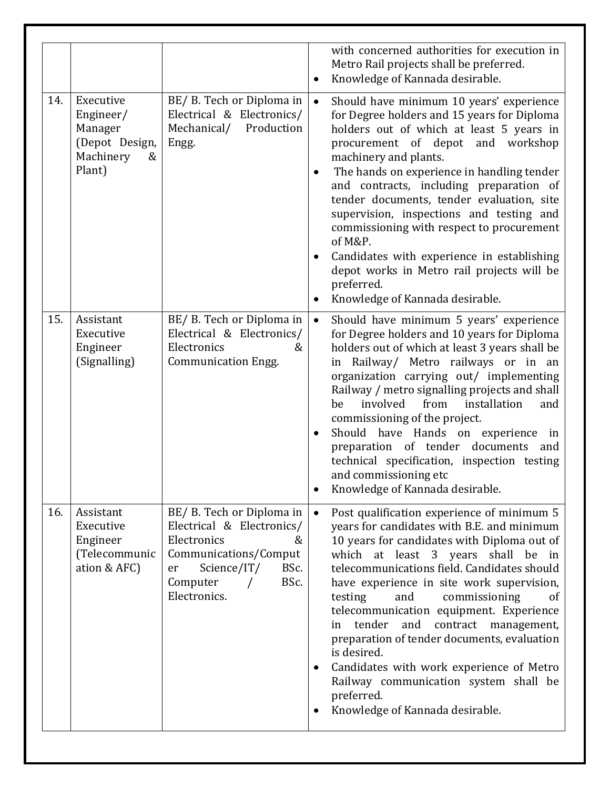|     |                                                                                 |                                                                                                                                                                      | with concerned authorities for execution in<br>Metro Rail projects shall be preferred.<br>Knowledge of Kannada desirable.<br>$\bullet$                                                                                                                                                                                                                                                                                                                                                                                                                                                                                                                      |
|-----|---------------------------------------------------------------------------------|----------------------------------------------------------------------------------------------------------------------------------------------------------------------|-------------------------------------------------------------------------------------------------------------------------------------------------------------------------------------------------------------------------------------------------------------------------------------------------------------------------------------------------------------------------------------------------------------------------------------------------------------------------------------------------------------------------------------------------------------------------------------------------------------------------------------------------------------|
| 14. | Executive<br>Engineer/<br>Manager<br>(Depot Design,<br>Machinery<br>&<br>Plant) | BE/ B. Tech or Diploma in<br>Electrical & Electronics/<br>Production<br>Mechanical/<br>Engg.                                                                         | Should have minimum 10 years' experience<br>$\bullet$<br>for Degree holders and 15 years for Diploma<br>holders out of which at least 5 years in<br>procurement of depot and workshop<br>machinery and plants.<br>The hands on experience in handling tender<br>٠<br>and contracts, including preparation of<br>tender documents, tender evaluation, site<br>supervision, inspections and testing and<br>commissioning with respect to procurement<br>of M&P.<br>Candidates with experience in establishing<br>$\bullet$<br>depot works in Metro rail projects will be<br>preferred.<br>Knowledge of Kannada desirable.<br>$\bullet$                        |
| 15. | Assistant<br>Executive<br>Engineer<br>(Signalling)                              | BE/ B. Tech or Diploma in<br>Electrical & Electronics/<br>Electronics<br>&<br><b>Communication Engg.</b>                                                             | $\bullet$<br>Should have minimum 5 years' experience<br>for Degree holders and 10 years for Diploma<br>holders out of which at least 3 years shall be<br>in Railway/ Metro railways or in an<br>organization carrying out/ implementing<br>Railway / metro signalling projects and shall<br>involved<br>installation<br>from<br>be<br>and<br>commissioning of the project.<br>Should have Hands on experience in<br>$\bullet$<br>preparation of tender documents<br>and<br>technical specification, inspection testing<br>and commissioning etc<br>Knowledge of Kannada desirable.                                                                          |
| 16. | Assistant<br>Executive<br>Engineer<br>(Telecommunic<br>ation & AFC)             | BE/ B. Tech or Diploma in<br>Electrical & Electronics/<br>Electronics<br>&<br>Communications/Comput<br>Science/IT/<br>BSc.<br>er<br>BSc.<br>Computer<br>Electronics. | Post qualification experience of minimum 5<br>$\bullet$<br>years for candidates with B.E. and minimum<br>10 years for candidates with Diploma out of<br>which at least 3 years<br>shall<br>be<br>in<br>telecommunications field. Candidates should<br>have experience in site work supervision,<br>testing<br>commissioning<br>and<br>οf<br>telecommunication equipment. Experience<br>tender<br>and<br>contract<br>management,<br>in<br>preparation of tender documents, evaluation<br>is desired.<br>Candidates with work experience of Metro<br>٠<br>Railway communication system shall be<br>preferred.<br>Knowledge of Kannada desirable.<br>$\bullet$ |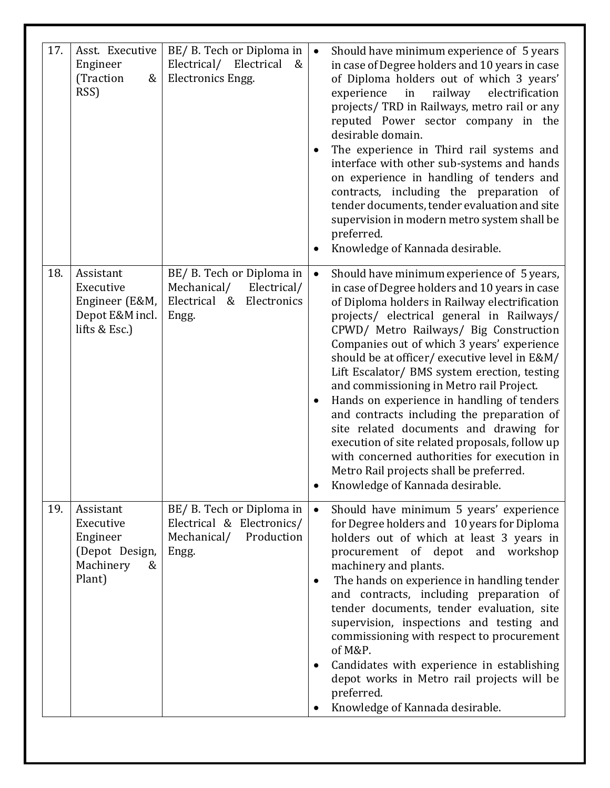| 17. | Asst. Executive<br>Engineer<br>(Traction<br>&<br>RSS)                            | BE/ B. Tech or Diploma in<br>Electrical/<br>Electrical<br>&<br>Electronics Engg.             | Should have minimum experience of 5 years<br>$\bullet$<br>in case of Degree holders and 10 years in case<br>of Diploma holders out of which 3 years'<br>railway<br>experience<br>in<br>electrification<br>projects/ TRD in Railways, metro rail or any<br>reputed Power sector company in the<br>desirable domain.<br>The experience in Third rail systems and<br>$\bullet$<br>interface with other sub-systems and hands<br>on experience in handling of tenders and<br>contracts, including the preparation of<br>tender documents, tender evaluation and site<br>supervision in modern metro system shall be<br>preferred.<br>Knowledge of Kannada desirable.                                                                                                 |
|-----|----------------------------------------------------------------------------------|----------------------------------------------------------------------------------------------|------------------------------------------------------------------------------------------------------------------------------------------------------------------------------------------------------------------------------------------------------------------------------------------------------------------------------------------------------------------------------------------------------------------------------------------------------------------------------------------------------------------------------------------------------------------------------------------------------------------------------------------------------------------------------------------------------------------------------------------------------------------|
| 18. | Assistant<br>Executive<br>Engineer (E&M,<br>Depot E&M incl.<br>lifts & Esc.)     | BE/ B. Tech or Diploma in<br>Mechanical/<br>Electrical/<br>Electrical & Electronics<br>Engg. | $\bullet$<br>Should have minimum experience of 5 years,<br>in case of Degree holders and 10 years in case<br>of Diploma holders in Railway electrification<br>projects/ electrical general in Railways/<br>CPWD/ Metro Railways/ Big Construction<br>Companies out of which 3 years' experience<br>should be at officer/executive level in E&M/<br>Lift Escalator/ BMS system erection, testing<br>and commissioning in Metro rail Project.<br>Hands on experience in handling of tenders<br>and contracts including the preparation of<br>site related documents and drawing for<br>execution of site related proposals, follow up<br>with concerned authorities for execution in<br>Metro Rail projects shall be preferred.<br>Knowledge of Kannada desirable. |
| 19. | Assistant<br>Executive<br>Engineer<br>(Depot Design,<br>Machinery<br>&<br>Plant) | BE/ B. Tech or Diploma in<br>Electrical & Electronics/<br>Mechanical/<br>Production<br>Engg. | Should have minimum 5 years' experience<br>$\bullet$<br>for Degree holders and 10 years for Diploma<br>holders out of which at least 3 years in<br>procurement of depot and workshop<br>machinery and plants.<br>The hands on experience in handling tender<br>$\bullet$<br>and contracts, including preparation of<br>tender documents, tender evaluation, site<br>supervision, inspections and testing and<br>commissioning with respect to procurement<br>of M&P.<br>Candidates with experience in establishing<br>٠<br>depot works in Metro rail projects will be<br>preferred.<br>Knowledge of Kannada desirable.                                                                                                                                           |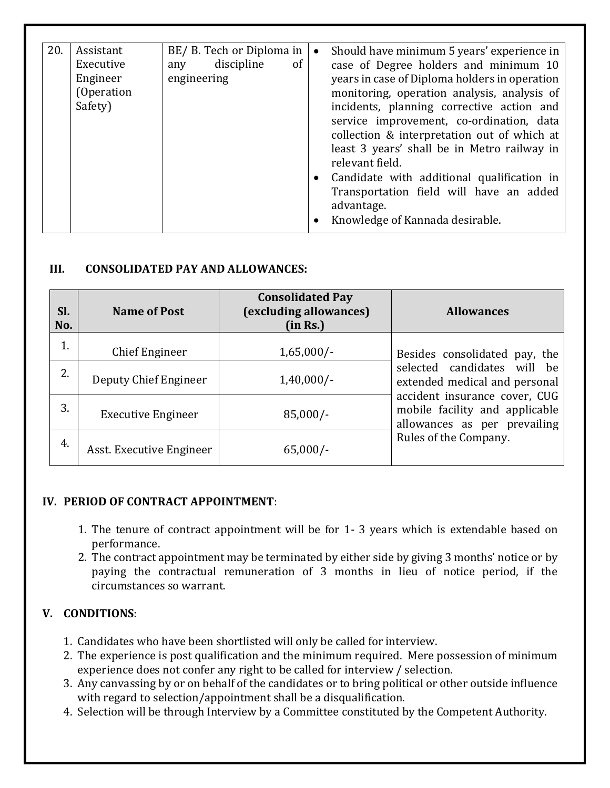| 20. | Assistant<br>Executive<br>Engineer<br>(Operation<br>Safety) | BE/ B. Tech or Diploma in<br>discipline<br>of<br>any<br>engineering | Should have minimum 5 years' experience in<br>$\bullet$<br>case of Degree holders and minimum 10<br>years in case of Diploma holders in operation<br>monitoring, operation analysis, analysis of<br>incidents, planning corrective action and<br>service improvement, co-ordination, data<br>collection & interpretation out of which at<br>least 3 years' shall be in Metro railway in<br>relevant field.<br>• Candidate with additional qualification in<br>Transportation field will have an added<br>advantage.<br>Knowledge of Kannada desirable. |
|-----|-------------------------------------------------------------|---------------------------------------------------------------------|--------------------------------------------------------------------------------------------------------------------------------------------------------------------------------------------------------------------------------------------------------------------------------------------------------------------------------------------------------------------------------------------------------------------------------------------------------------------------------------------------------------------------------------------------------|

#### **III. CONSOLIDATED PAY AND ALLOWANCES:**

| SI.<br>No. | <b>Name of Post</b>       | <b>Consolidated Pay</b><br>(excluding allowances)<br>(in Rs.) | <b>Allowances</b>                                                                               |
|------------|---------------------------|---------------------------------------------------------------|-------------------------------------------------------------------------------------------------|
| 1.         | Chief Engineer            | $1,65,000/-$                                                  | Besides consolidated pay, the                                                                   |
| 2.         | Deputy Chief Engineer     | $1,40,000/-$                                                  | selected candidates will be<br>extended medical and personal                                    |
| 3.         | <b>Executive Engineer</b> | $85,000/-$                                                    | accident insurance cover, CUG<br>mobile facility and applicable<br>allowances as per prevailing |
| 4.         | Asst. Executive Engineer  | $65,000/-$                                                    | Rules of the Company.                                                                           |

# **IV. PERIOD OF CONTRACT APPOINTMENT**:

- 1. The tenure of contract appointment will be for 1- 3 years which is extendable based on performance.
- 2. The contract appointment may be terminated by either side by giving 3 months' notice or by paying the contractual remuneration of 3 months in lieu of notice period, if the circumstances so warrant.

# **V. CONDITIONS**:

- 1. Candidates who have been shortlisted will only be called for interview.
- 2. The experience is post qualification and the minimum required. Mere possession of minimum experience does not confer any right to be called for interview / selection.
- 3. Any canvassing by or on behalf of the candidates or to bring political or other outside influence with regard to selection/appointment shall be a disqualification.
- 4. Selection will be through Interview by a Committee constituted by the Competent Authority.